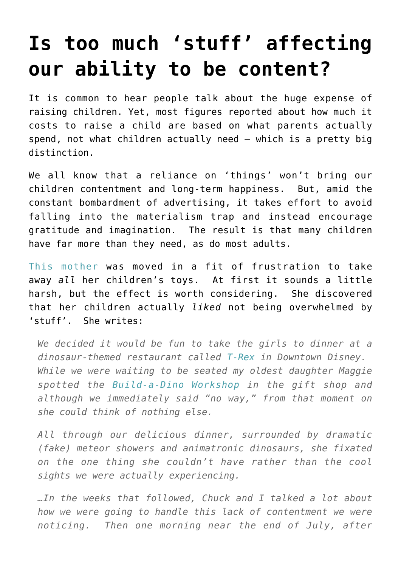## **[Is too much 'stuff' affecting](https://intellectualtakeout.org/2016/05/is-too-much-stuff-affecting-our-ability-to-be-content/) [our ability to be content?](https://intellectualtakeout.org/2016/05/is-too-much-stuff-affecting-our-ability-to-be-content/)**

It is common to hear people talk about the huge expense of raising children. Yet, most figures reported about how much it costs to raise a child are based on what parents actually spend, not what children actually need – which is a pretty big distinction.

We all know that a reliance on 'things' won't bring our children contentment and long-term happiness. But, amid the constant bombardment of advertising, it takes effort to avoid falling into the materialism trap and instead encourage gratitude and imagination. The result is that many children have far more than they need, as do most adults.

[This mother](http://www.livingwellspendingless.com/2012/09/14/why-i-took-all-my-kids-toys-away-why-they-wont-get-them-back/why-i-took-all-my-kids-toys-away-why-they-wont-get-them-back-a-must-read-for-any-parent-who-has-struggled-with-too-much-stuff/) was moved in a fit of frustration to take away *all* her children's toys. At first it sounds a little harsh, but the effect is worth considering. She discovered that her children actually *liked* not being overwhelmed by 'stuff'. She writes:

*We decided it would be fun to take the girls to dinner at a dinosaur-themed restaurant called [T-Rex](http://www.trexcafe.com/) in Downtown Disney. While we were waiting to be seated my oldest daughter Maggie spotted the [Build-a-Dino Workshop](http://www.buildadino.com/) in the gift shop and although we immediately said "no way," from that moment on she could think of nothing else.*

*All through our delicious dinner, surrounded by dramatic (fake) meteor showers and animatronic dinosaurs, she fixated on the one thing she couldn't have rather than the cool sights we were actually experiencing.*

*…In the weeks that followed, Chuck and I talked a lot about how we were going to handle this lack of contentment we were noticing. Then one morning near the end of July, after*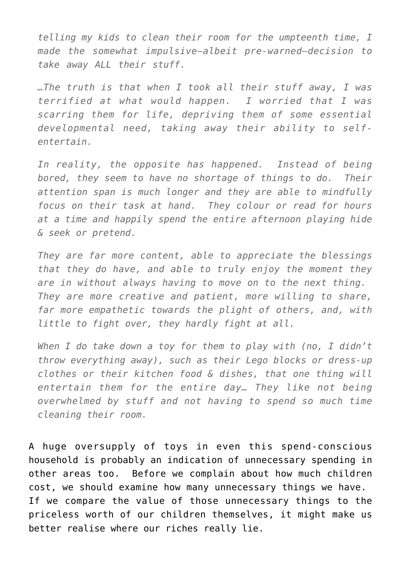*telling my kids to clean their room for the umpteenth time, I made the somewhat impulsive–albeit pre-warned–decision to take away ALL their stuff.*

*…The truth is that when I took all their stuff away, I was terrified at what would happen. I worried that I was scarring them for life, depriving them of some essential developmental need, taking away their ability to selfentertain.*

*In reality, the opposite has happened. Instead of being bored, they seem to have no shortage of things to do. Their attention span is much longer and they are able to mindfully focus on their task at hand. They colour or read for hours at a time and happily spend the entire afternoon playing hide & seek or pretend.*

*They are far more content, able to appreciate the blessings that they do have, and able to truly enjoy the moment they are in without always having to move on to the next thing. They are more creative and patient, more willing to share, far more empathetic towards the plight of others, and, with little to fight over, they hardly fight at all.*

*When I do take down a toy for them to play with (no, I didn't throw everything away), such as their Lego blocks or dress-up clothes or their kitchen food & dishes, that one thing will entertain them for the entire day… They like not being overwhelmed by stuff and not having to spend so much time cleaning their room.*

A huge oversupply of toys in even this spend-conscious household is probably an indication of unnecessary spending in other areas too. Before we complain about how much children cost, we should examine how many unnecessary things we have. If we compare the value of those unnecessary things to the priceless worth of our children themselves, it might make us better realise where our riches really lie.